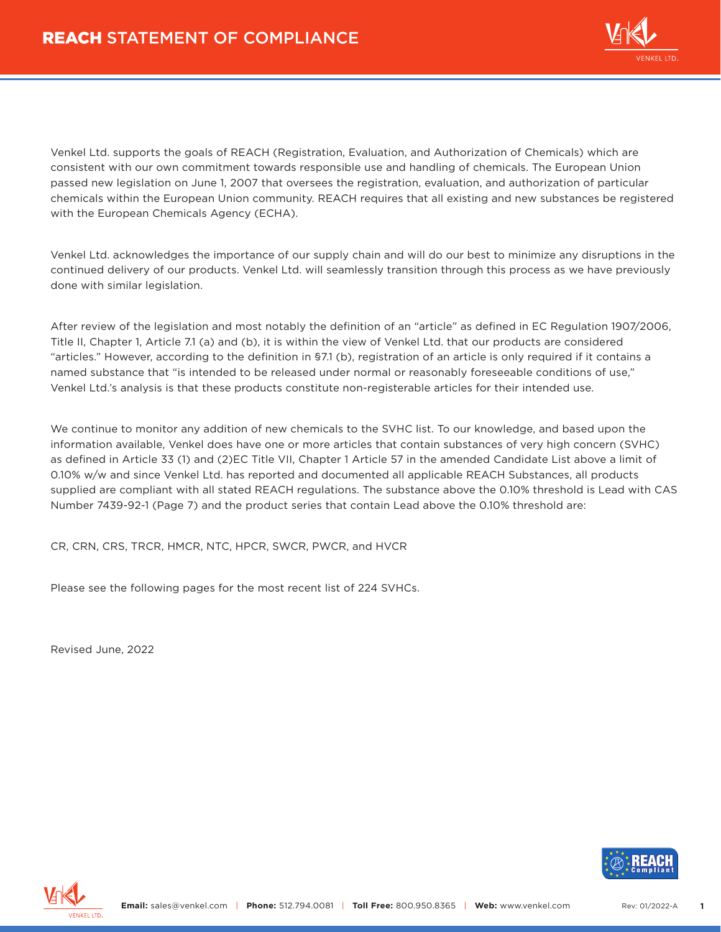

Venkel Ltd. supports the goals of REACH (Registration, Evaluation, and Authorization of Chemicals) which are consistent with our own commitment towards responsible use and handling of chemicals. The European Union passed new legislation on June 1, 2007 that oversees the registration, evaluation, and authorization of particular chemicals within the European Union community. REACH requires that all existing and new substances be registered with the European Chemicals Agency (ECHA).

Venkel Ltd. acknowledges the importance of our supply chain and will do our best to minimize any disruptions in the continued delivery of our products. Venkel Ltd. will seamlessly transition through this process as we have previously done with similar legislation.

After review of the legislation and most notably the definition of an "article" as defined in EC Regulation 1907/2006, Title II, Chapter 1, Article 7.1 (a) and (b), it is within the view of Venkel Ltd. that our products are considered "articles." However, according to the definition in §7.1 (b), registration of an article is only required if it contains a named substance that "is intended to be released under normal or reasonably foreseeable conditions of use," Venkel Ltd.'s analysis is that these products constitute non-registerable articles for their intended use.

We continue to monitor any addition of new chemicals to the SVHC list. To our knowledge, and based upon the information available, Venkel does have one or more articles that contain substances of very high concern (SVHC) as defined in Article 33 (1) and (2)EC Title VII, Chapter 1 Article 57 in the amended Candidate List above a limit of 0.10% w/w and since Venkel Ltd. has reported and documented all applicable REACH Substances, all products supplied are compliant with all stated REACH regulations. The substance above the 0.10% threshold is Lead with CAS Number 7439-92-1 (Page 7) and the product series that contain Lead above the 0.10% threshold are:

CR, CRN, CRS, TRCR, HMCR, NTC, HPCR, SWCR, PWCR, and HVCR

Please see the following pages for the most recent list of 224 SVHCs.

Revised June, 2022



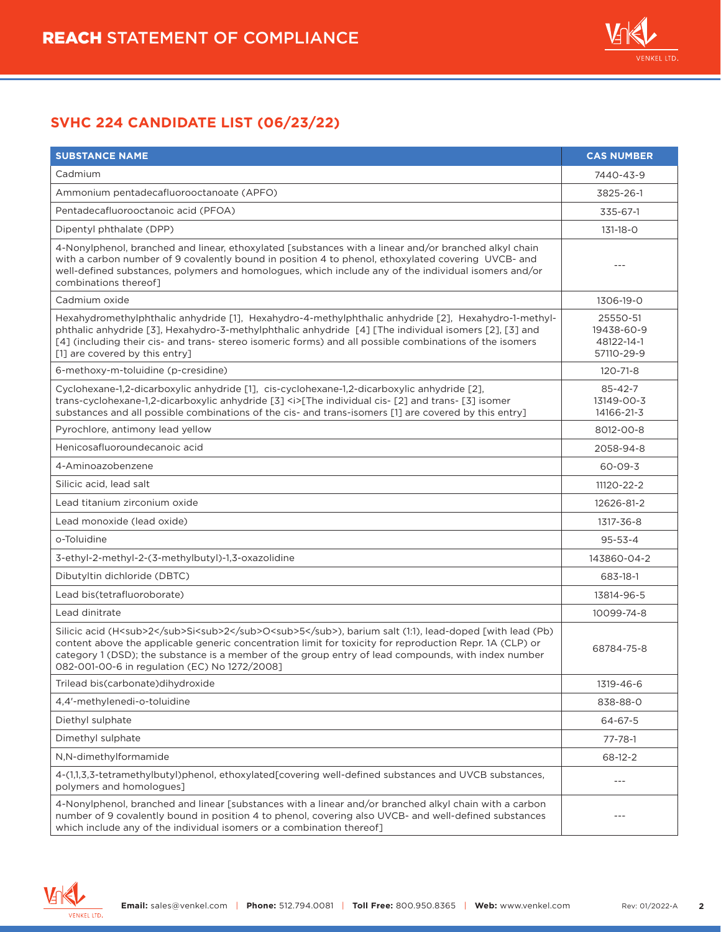

| <b>SUBSTANCE NAME</b>                                                                                                                                                                                                                                                                                                                                                              | <b>CAS NUMBER</b>                                  |
|------------------------------------------------------------------------------------------------------------------------------------------------------------------------------------------------------------------------------------------------------------------------------------------------------------------------------------------------------------------------------------|----------------------------------------------------|
| Cadmium                                                                                                                                                                                                                                                                                                                                                                            | 7440-43-9                                          |
| Ammonium pentadecafluorooctanoate (APFO)                                                                                                                                                                                                                                                                                                                                           | 3825-26-1                                          |
| Pentadecafluorooctanoic acid (PFOA)                                                                                                                                                                                                                                                                                                                                                | 335-67-1                                           |
| Dipentyl phthalate (DPP)                                                                                                                                                                                                                                                                                                                                                           | 131-18-0                                           |
| 4-Nonylphenol, branched and linear, ethoxylated [substances with a linear and/or branched alkyl chain<br>with a carbon number of 9 covalently bound in position 4 to phenol, ethoxylated covering UVCB- and<br>well-defined substances, polymers and homologues, which include any of the individual isomers and/or<br>combinations thereof]                                       |                                                    |
| Cadmium oxide                                                                                                                                                                                                                                                                                                                                                                      | 1306-19-0                                          |
| Hexahydromethylphthalic anhydride [1], Hexahydro-4-methylphthalic anhydride [2], Hexahydro-1-methyl-<br>phthalic anhydride [3], Hexahydro-3-methylphthalic anhydride [4] [The individual isomers [2], [3] and<br>[4] (including their cis- and trans- stereo isomeric forms) and all possible combinations of the isomers<br>[1] are covered by this entry]                        | 25550-51<br>19438-60-9<br>48122-14-1<br>57110-29-9 |
| 6-methoxy-m-toluidine (p-cresidine)                                                                                                                                                                                                                                                                                                                                                | 120-71-8                                           |
| Cyclohexane-1,2-dicarboxylic anhydride [1], cis-cyclohexane-1,2-dicarboxylic anhydride [2],<br>trans-cyclohexane-1,2-dicarboxylic anhydride [3] <i>[The individual cis- [2] and trans- [3] isomer<br/>substances and all possible combinations of the cis- and trans-isomers [1] are covered by this entry]</i>                                                                    | $85 - 42 - 7$<br>13149-00-3<br>14166-21-3          |
| Pyrochlore, antimony lead yellow                                                                                                                                                                                                                                                                                                                                                   | 8012-00-8                                          |
| Henicosafluoroundecanoic acid                                                                                                                                                                                                                                                                                                                                                      | 2058-94-8                                          |
| 4-Aminoazobenzene                                                                                                                                                                                                                                                                                                                                                                  | 60-09-3                                            |
| Silicic acid, lead salt                                                                                                                                                                                                                                                                                                                                                            | 11120-22-2                                         |
| Lead titanium zirconium oxide                                                                                                                                                                                                                                                                                                                                                      | 12626-81-2                                         |
| Lead monoxide (lead oxide)                                                                                                                                                                                                                                                                                                                                                         | 1317-36-8                                          |
| o-Toluidine                                                                                                                                                                                                                                                                                                                                                                        | $95 - 53 - 4$                                      |
| 3-ethyl-2-methyl-2-(3-methylbutyl)-1,3-oxazolidine                                                                                                                                                                                                                                                                                                                                 | 143860-04-2                                        |
| Dibutyltin dichloride (DBTC)                                                                                                                                                                                                                                                                                                                                                       | 683-18-1                                           |
| Lead bis(tetrafluoroborate)                                                                                                                                                                                                                                                                                                                                                        | 13814-96-5                                         |
| Lead dinitrate                                                                                                                                                                                                                                                                                                                                                                     | 10099-74-8                                         |
| Silicic acid (H <sub>2</sub> Si <sub>2</sub> O <sub>5</sub> >b>, barium salt (1:1), lead-doped [with lead (Pb)<br>content above the applicable generic concentration limit for toxicity for reproduction Repr. 1A (CLP) or<br>category 1 (DSD); the substance is a member of the group entry of lead compounds, with index number<br>082-001-00-6 in regulation (EC) No 1272/2008] | 68784-75-8                                         |
| Trilead bis(carbonate)dihydroxide                                                                                                                                                                                                                                                                                                                                                  | 1319-46-6                                          |
| 4,4'-methylenedi-o-toluidine                                                                                                                                                                                                                                                                                                                                                       | 838-88-0                                           |
| Diethyl sulphate                                                                                                                                                                                                                                                                                                                                                                   | 64-67-5                                            |
| Dimethyl sulphate                                                                                                                                                                                                                                                                                                                                                                  | 77-78-1                                            |
| N,N-dimethylformamide                                                                                                                                                                                                                                                                                                                                                              | 68-12-2                                            |
| 4-(1,1,3,3-tetramethylbutyl)phenol, ethoxylated[covering well-defined substances and UVCB substances,<br>polymers and homologues]                                                                                                                                                                                                                                                  | $---$                                              |
| 4-Nonylphenol, branched and linear [substances with a linear and/or branched alkyl chain with a carbon<br>number of 9 covalently bound in position 4 to phenol, covering also UVCB- and well-defined substances<br>which include any of the individual isomers or a combination thereof]                                                                                           |                                                    |

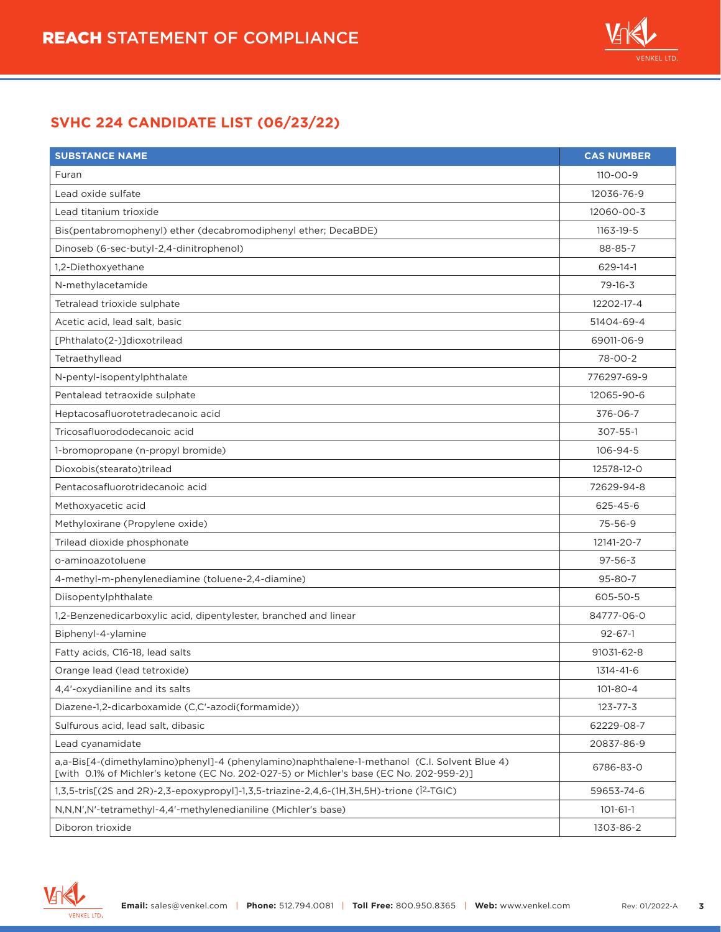

| <b>SUBSTANCE NAME</b>                                                                                                                                                                   | <b>CAS NUMBER</b> |
|-----------------------------------------------------------------------------------------------------------------------------------------------------------------------------------------|-------------------|
| Furan                                                                                                                                                                                   | $110 - 00 - 9$    |
| Lead oxide sulfate                                                                                                                                                                      | 12036-76-9        |
| Lead titanium trioxide                                                                                                                                                                  | 12060-00-3        |
| Bis(pentabromophenyl) ether (decabromodiphenyl ether; DecaBDE)                                                                                                                          | $1163 - 19 - 5$   |
| Dinoseb (6-sec-butyl-2,4-dinitrophenol)                                                                                                                                                 | 88-85-7           |
| 1,2-Diethoxyethane                                                                                                                                                                      | 629-14-1          |
| N-methylacetamide                                                                                                                                                                       | $79 - 16 - 3$     |
| Tetralead trioxide sulphate                                                                                                                                                             | 12202-17-4        |
| Acetic acid, lead salt, basic                                                                                                                                                           | 51404-69-4        |
| [Phthalato(2-)]dioxotrilead                                                                                                                                                             | 69011-06-9        |
| Tetraethyllead                                                                                                                                                                          | 78-00-2           |
| N-pentyl-isopentylphthalate                                                                                                                                                             | 776297-69-9       |
| Pentalead tetraoxide sulphate                                                                                                                                                           | 12065-90-6        |
| Heptacosafluorotetradecanoic acid                                                                                                                                                       | 376-06-7          |
| Tricosafluorododecanoic acid                                                                                                                                                            | 307-55-1          |
| 1-bromopropane (n-propyl bromide)                                                                                                                                                       | 106-94-5          |
| Dioxobis(stearato)trilead                                                                                                                                                               | 12578-12-0        |
| Pentacosafluorotridecanoic acid                                                                                                                                                         | 72629-94-8        |
| Methoxyacetic acid                                                                                                                                                                      | 625-45-6          |
| Methyloxirane (Propylene oxide)                                                                                                                                                         | 75-56-9           |
| Trilead dioxide phosphonate                                                                                                                                                             | 12141-20-7        |
| o-aminoazotoluene                                                                                                                                                                       | $97 - 56 - 3$     |
| 4-methyl-m-phenylenediamine (toluene-2,4-diamine)                                                                                                                                       | 95-80-7           |
| Diisopentylphthalate                                                                                                                                                                    | 605-50-5          |
| 1,2-Benzenedicarboxylic acid, dipentylester, branched and linear                                                                                                                        | 84777-06-0        |
| Biphenyl-4-ylamine                                                                                                                                                                      | $92 - 67 - 1$     |
| Fatty acids, C16-18, lead salts                                                                                                                                                         | 91031-62-8        |
| Orange lead (lead tetroxide)                                                                                                                                                            | 1314-41-6         |
| 4,4'-oxydianiline and its salts                                                                                                                                                         | 101-80-4          |
| Diazene-1,2-dicarboxamide (C,C'-azodi(formamide))                                                                                                                                       | $123 - 77 - 3$    |
| Sulfurous acid, lead salt, dibasic                                                                                                                                                      | 62229-08-7        |
| Lead cyanamidate                                                                                                                                                                        | 20837-86-9        |
| a,a-Bis[4-(dimethylamino)phenyl]-4 (phenylamino)naphthalene-1-methanol (C.I. Solvent Blue 4)<br>[with 0.1% of Michler's ketone (EC No. 202-027-5) or Michler's base (EC No. 202-959-2)] | 6786-83-0         |
| 1,3,5-tris[(2S and 2R)-2,3-epoxypropyl]-1,3,5-triazine-2,4,6-(1H,3H,5H)-trione (Î <sup>2</sup> -TGIC)                                                                                   | 59653-74-6        |
| N,N,N',N'-tetramethyl-4,4'-methylenedianiline (Michler's base)                                                                                                                          | $101 - 61 - 1$    |
| Diboron trioxide                                                                                                                                                                        | 1303-86-2         |

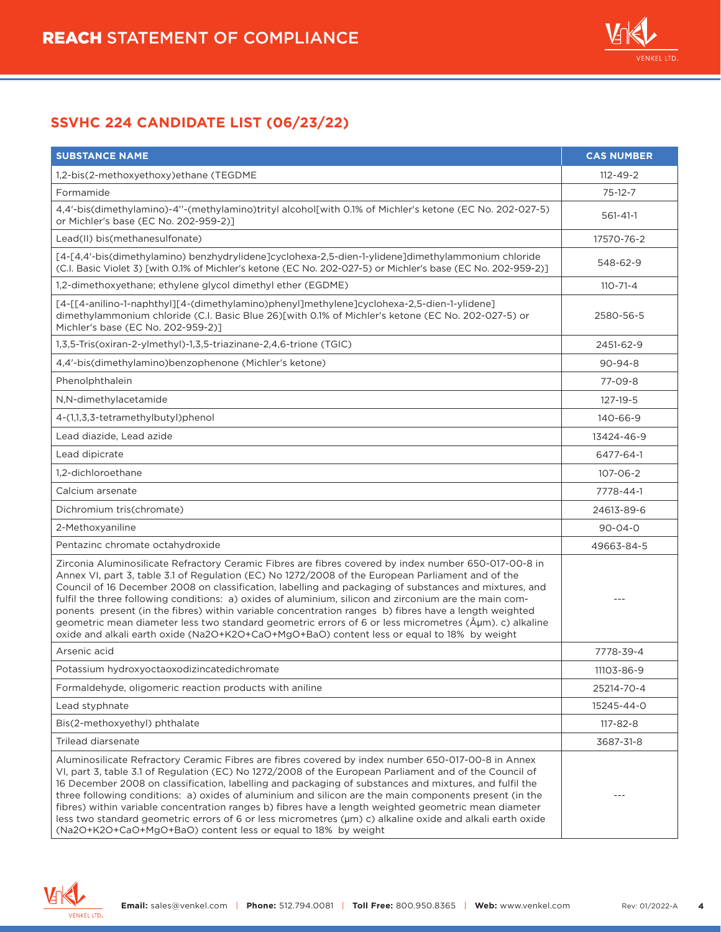

| <b>SUBSTANCE NAME</b>                                                                                                                                                                                                                                                                                                                                                                                                                                                                                                                                                                                                                                                                                                                          | <b>CAS NUMBER</b> |
|------------------------------------------------------------------------------------------------------------------------------------------------------------------------------------------------------------------------------------------------------------------------------------------------------------------------------------------------------------------------------------------------------------------------------------------------------------------------------------------------------------------------------------------------------------------------------------------------------------------------------------------------------------------------------------------------------------------------------------------------|-------------------|
| 1,2-bis(2-methoxyethoxy)ethane (TEGDME                                                                                                                                                                                                                                                                                                                                                                                                                                                                                                                                                                                                                                                                                                         | $112 - 49 - 2$    |
| Formamide                                                                                                                                                                                                                                                                                                                                                                                                                                                                                                                                                                                                                                                                                                                                      | $75-12-7$         |
| 4,4'-bis(dimethylamino)-4"-(methylamino)trityl alcohol[with 0.1% of Michler's ketone (EC No. 202-027-5)<br>or Michler's base (EC No. 202-959-2)]                                                                                                                                                                                                                                                                                                                                                                                                                                                                                                                                                                                               | $561 - 41 - 1$    |
| Lead(II) bis(methanesulfonate)                                                                                                                                                                                                                                                                                                                                                                                                                                                                                                                                                                                                                                                                                                                 | 17570-76-2        |
| [4-[4,4'-bis(dimethylamino) benzhydrylidene]cyclohexa-2,5-dien-1-ylidene]dimethylammonium chloride<br>(C.I. Basic Violet 3) [with 0.1% of Michler's ketone (EC No. 202-027-5) or Michler's base (EC No. 202-959-2)]                                                                                                                                                                                                                                                                                                                                                                                                                                                                                                                            | 548-62-9          |
| 1,2-dimethoxyethane; ethylene glycol dimethyl ether (EGDME)                                                                                                                                                                                                                                                                                                                                                                                                                                                                                                                                                                                                                                                                                    | $110 - 71 - 4$    |
| [4-[[4-anilino-1-naphthyl][4-(dimethylamino)phenyl]methylene]cyclohexa-2,5-dien-1-ylidene]<br>dimethylammonium chloride (C.I. Basic Blue 26)[with 0.1% of Michler's ketone (EC No. 202-027-5) or<br>Michler's base (EC No. 202-959-2)]                                                                                                                                                                                                                                                                                                                                                                                                                                                                                                         | 2580-56-5         |
| 1,3,5-Tris(oxiran-2-ylmethyl)-1,3,5-triazinane-2,4,6-trione (TGIC)                                                                                                                                                                                                                                                                                                                                                                                                                                                                                                                                                                                                                                                                             | 2451-62-9         |
| 4,4'-bis(dimethylamino)benzophenone (Michler's ketone)                                                                                                                                                                                                                                                                                                                                                                                                                                                                                                                                                                                                                                                                                         | $90 - 94 - 8$     |
| Phenolphthalein                                                                                                                                                                                                                                                                                                                                                                                                                                                                                                                                                                                                                                                                                                                                | 77-09-8           |
| N,N-dimethylacetamide                                                                                                                                                                                                                                                                                                                                                                                                                                                                                                                                                                                                                                                                                                                          | 127-19-5          |
| 4-(1,1,3,3-tetramethylbutyl)phenol                                                                                                                                                                                                                                                                                                                                                                                                                                                                                                                                                                                                                                                                                                             | 140-66-9          |
| Lead diazide, Lead azide                                                                                                                                                                                                                                                                                                                                                                                                                                                                                                                                                                                                                                                                                                                       | 13424-46-9        |
| Lead dipicrate                                                                                                                                                                                                                                                                                                                                                                                                                                                                                                                                                                                                                                                                                                                                 | 6477-64-1         |
| 1.2-dichloroethane                                                                                                                                                                                                                                                                                                                                                                                                                                                                                                                                                                                                                                                                                                                             | $107 - 06 - 2$    |
| Calcium arsenate                                                                                                                                                                                                                                                                                                                                                                                                                                                                                                                                                                                                                                                                                                                               | 7778-44-1         |
| Dichromium tris(chromate)                                                                                                                                                                                                                                                                                                                                                                                                                                                                                                                                                                                                                                                                                                                      | 24613-89-6        |
| 2-Methoxyaniline                                                                                                                                                                                                                                                                                                                                                                                                                                                                                                                                                                                                                                                                                                                               | $90 - 04 - 0$     |
| Pentazinc chromate octahydroxide                                                                                                                                                                                                                                                                                                                                                                                                                                                                                                                                                                                                                                                                                                               | 49663-84-5        |
| Zirconia Aluminosilicate Refractory Ceramic Fibres are fibres covered by index number 650-017-00-8 in<br>Annex VI, part 3, table 3.1 of Regulation (EC) No 1272/2008 of the European Parliament and of the<br>Council of 16 December 2008 on classification, labelling and packaging of substances and mixtures, and<br>fulfil the three following conditions: a) oxides of aluminium, silicon and zirconium are the main com-<br>ponents present (in the fibres) within variable concentration ranges b) fibres have a length weighted<br>geometric mean diameter less two standard geometric errors of 6 or less micrometres (µm). c) alkaline<br>oxide and alkali earth oxide (Na2O+K2O+CaO+MgO+BaO) content less or equal to 18% by weight |                   |
| Arsenic acid                                                                                                                                                                                                                                                                                                                                                                                                                                                                                                                                                                                                                                                                                                                                   | 7778-39-4         |
| Potassium hydroxyoctaoxodizincatedichromate                                                                                                                                                                                                                                                                                                                                                                                                                                                                                                                                                                                                                                                                                                    | 11103-86-9        |
| Formaldehyde, oligomeric reaction products with aniline                                                                                                                                                                                                                                                                                                                                                                                                                                                                                                                                                                                                                                                                                        | 25214-70-4        |
| Lead styphnate                                                                                                                                                                                                                                                                                                                                                                                                                                                                                                                                                                                                                                                                                                                                 | 15245-44-0        |
| Bis(2-methoxyethyl) phthalate                                                                                                                                                                                                                                                                                                                                                                                                                                                                                                                                                                                                                                                                                                                  | 117-82-8          |
| Trilead diarsenate                                                                                                                                                                                                                                                                                                                                                                                                                                                                                                                                                                                                                                                                                                                             | 3687-31-8         |
| Aluminosilicate Refractory Ceramic Fibres are fibres covered by index number 650-017-00-8 in Annex<br>VI, part 3, table 3.1 of Regulation (EC) No 1272/2008 of the European Parliament and of the Council of<br>16 December 2008 on classification, labelling and packaging of substances and mixtures, and fulfil the<br>three following conditions: a) oxides of aluminium and silicon are the main components present (in the<br>fibres) within variable concentration ranges b) fibres have a length weighted geometric mean diameter<br>less two standard geometric errors of 6 or less micrometres ( $\mu$ m) c) alkaline oxide and alkali earth oxide<br>(Na2O+K2O+CaO+MgO+BaO) content less or equal to 18% by weight                  |                   |

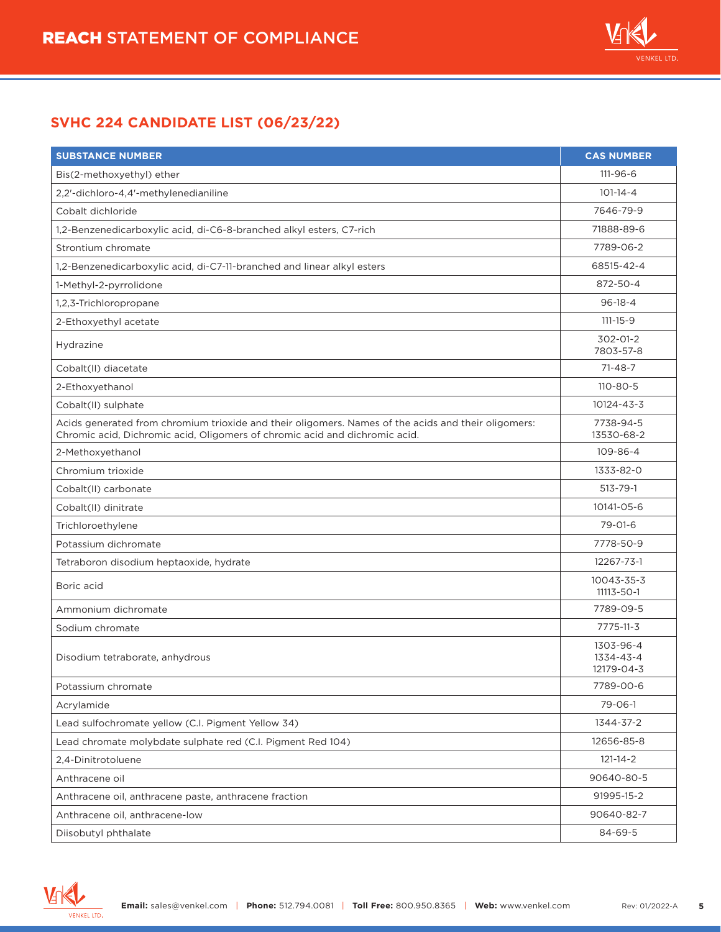

| <b>SUBSTANCE NUMBER</b>                                                                                                                                                            | <b>CAS NUMBER</b>                    |
|------------------------------------------------------------------------------------------------------------------------------------------------------------------------------------|--------------------------------------|
| Bis(2-methoxyethyl) ether                                                                                                                                                          | $111 - 96 - 6$                       |
| 2,2'-dichloro-4,4'-methylenedianiline                                                                                                                                              | $101 - 14 - 4$                       |
| Cobalt dichloride                                                                                                                                                                  | 7646-79-9                            |
| 1,2-Benzenedicarboxylic acid, di-C6-8-branched alkyl esters, C7-rich                                                                                                               | 71888-89-6                           |
| Strontium chromate                                                                                                                                                                 | 7789-06-2                            |
| 1,2-Benzenedicarboxylic acid, di-C7-11-branched and linear alkyl esters                                                                                                            | 68515-42-4                           |
| 1-Methyl-2-pyrrolidone                                                                                                                                                             | 872-50-4                             |
| 1,2,3-Trichloropropane                                                                                                                                                             | $96 - 18 - 4$                        |
| 2-Ethoxyethyl acetate                                                                                                                                                              | $111 - 15 - 9$                       |
| Hydrazine                                                                                                                                                                          | 302-01-2<br>7803-57-8                |
| Cobalt(II) diacetate                                                                                                                                                               | 71-48-7                              |
| 2-Ethoxyethanol                                                                                                                                                                    | 110-80-5                             |
| Cobalt(II) sulphate                                                                                                                                                                | 10124-43-3                           |
| Acids generated from chromium trioxide and their oligomers. Names of the acids and their oligomers:<br>Chromic acid, Dichromic acid, Oligomers of chromic acid and dichromic acid. | 7738-94-5<br>13530-68-2              |
| 2-Methoxyethanol                                                                                                                                                                   | 109-86-4                             |
| Chromium trioxide                                                                                                                                                                  | 1333-82-0                            |
| Cobalt(II) carbonate                                                                                                                                                               | $513 - 79 - 1$                       |
| Cobalt(II) dinitrate                                                                                                                                                               | 10141-05-6                           |
| Trichloroethylene                                                                                                                                                                  | $79 - 01 - 6$                        |
| Potassium dichromate                                                                                                                                                               | 7778-50-9                            |
| Tetraboron disodium heptaoxide, hydrate                                                                                                                                            | 12267-73-1                           |
| Boric acid                                                                                                                                                                         | 10043-35-3<br>11113-50-1             |
| Ammonium dichromate                                                                                                                                                                | 7789-09-5                            |
| Sodium chromate                                                                                                                                                                    | 7775-11-3                            |
| Disodium tetraborate, anhydrous                                                                                                                                                    | 1303-96-4<br>1334-43-4<br>12179-04-3 |
| Potassium chromate                                                                                                                                                                 | 7789-00-6                            |
| Acrylamide                                                                                                                                                                         | 79-06-1                              |
| Lead sulfochromate yellow (C.I. Pigment Yellow 34)                                                                                                                                 | 1344-37-2                            |
| Lead chromate molybdate sulphate red (C.I. Pigment Red 104)                                                                                                                        | 12656-85-8                           |
| 2,4-Dinitrotoluene                                                                                                                                                                 | $121 - 14 - 2$                       |
| Anthracene oil                                                                                                                                                                     | 90640-80-5                           |
| Anthracene oil, anthracene paste, anthracene fraction                                                                                                                              | 91995-15-2                           |
| Anthracene oil, anthracene-low                                                                                                                                                     | 90640-82-7                           |
| Diisobutyl phthalate                                                                                                                                                               | 84-69-5                              |

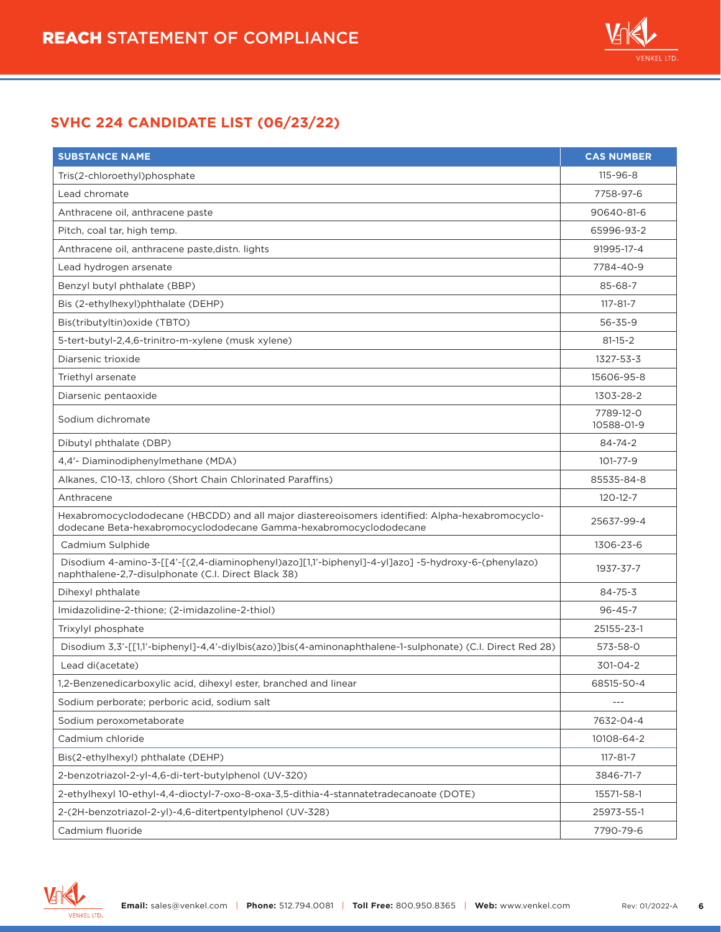

| <b>SUBSTANCE NAME</b>                                                                                                                                                | <b>CAS NUMBER</b>       |
|----------------------------------------------------------------------------------------------------------------------------------------------------------------------|-------------------------|
| Tris(2-chloroethyl)phosphate                                                                                                                                         | $115 - 96 - 8$          |
| Lead chromate                                                                                                                                                        | 7758-97-6               |
| Anthracene oil, anthracene paste                                                                                                                                     | 90640-81-6              |
| Pitch, coal tar, high temp.                                                                                                                                          | 65996-93-2              |
| Anthracene oil, anthracene paste, distn. lights                                                                                                                      | 91995-17-4              |
| Lead hydrogen arsenate                                                                                                                                               | 7784-40-9               |
| Benzyl butyl phthalate (BBP)                                                                                                                                         | 85-68-7                 |
| Bis (2-ethylhexyl)phthalate (DEHP)                                                                                                                                   | $117 - 81 - 7$          |
| Bis(tributyltin) oxide (TBTO)                                                                                                                                        | $56 - 35 - 9$           |
| 5-tert-butyl-2,4,6-trinitro-m-xylene (musk xylene)                                                                                                                   | $81 - 15 - 2$           |
| Diarsenic trioxide                                                                                                                                                   | 1327-53-3               |
| Triethyl arsenate                                                                                                                                                    | 15606-95-8              |
| Diarsenic pentaoxide                                                                                                                                                 | 1303-28-2               |
| Sodium dichromate                                                                                                                                                    | 7789-12-0<br>10588-01-9 |
| Dibutyl phthalate (DBP)                                                                                                                                              | $84 - 74 - 2$           |
| 4,4'- Diaminodiphenylmethane (MDA)                                                                                                                                   | $101 - 77 - 9$          |
| Alkanes, C10-13, chloro (Short Chain Chlorinated Paraffins)                                                                                                          | 85535-84-8              |
| Anthracene                                                                                                                                                           | $120 - 12 - 7$          |
| Hexabromocyclododecane (HBCDD) and all major diastereoisomers identified: Alpha-hexabromocyclo-<br>dodecane Beta-hexabromocyclododecane Gamma-hexabromocyclododecane | 25637-99-4              |
| Cadmium Sulphide                                                                                                                                                     | 1306-23-6               |
| Disodium 4-amino-3-[[4'-[(2,4-diaminophenyl)azo][1,1'-biphenyl]-4-yl]azo] -5-hydroxy-6-(phenylazo)<br>naphthalene-2,7-disulphonate (C.I. Direct Black 38)            | 1937-37-7               |
| Dihexyl phthalate                                                                                                                                                    | $84 - 75 - 3$           |
| Imidazolidine-2-thione; (2-imidazoline-2-thiol)                                                                                                                      | $96 - 45 - 7$           |
| Trixylyl phosphate                                                                                                                                                   | 25155-23-1              |
| Disodium 3,3'-[[1,1'-biphenyl]-4,4'-diylbis(azo)]bis(4-aminonaphthalene-1-sulphonate) (C.I. Direct Red 28)                                                           | 573-58-0                |
| Lead di(acetate)                                                                                                                                                     | 301-04-2                |
| 1,2-Benzenedicarboxylic acid, dihexyl ester, branched and linear                                                                                                     | 68515-50-4              |
| Sodium perborate; perboric acid, sodium salt                                                                                                                         | $---$                   |
| Sodium peroxometaborate                                                                                                                                              | 7632-04-4               |
| Cadmium chloride                                                                                                                                                     | 10108-64-2              |
| Bis(2-ethylhexyl) phthalate (DEHP)                                                                                                                                   | $117 - 81 - 7$          |
| 2-benzotriazol-2-yl-4,6-di-tert-butylphenol (UV-320)                                                                                                                 | 3846-71-7               |
| 2-ethylhexyl 10-ethyl-4,4-dioctyl-7-oxo-8-oxa-3,5-dithia-4-stannatetradecanoate (DOTE)                                                                               | 15571-58-1              |
| 2-(2H-benzotriazol-2-yl)-4,6-ditertpentylphenol (UV-328)                                                                                                             | 25973-55-1              |
| Cadmium fluoride                                                                                                                                                     | 7790-79-6               |

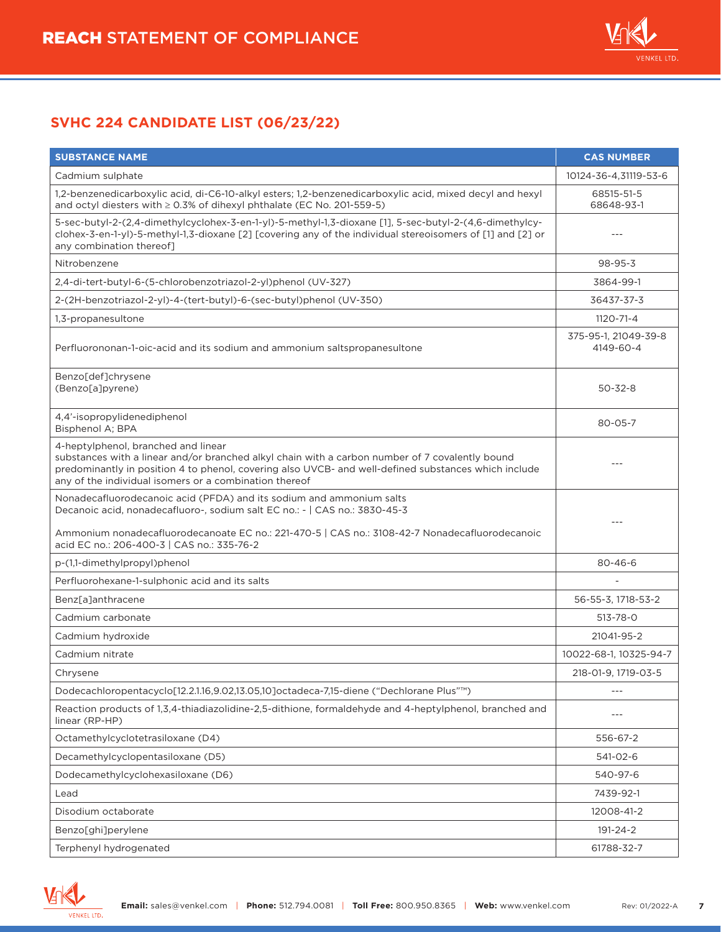

| <b>SUBSTANCE NAME</b>                                                                                                                                                                                                                                                                                    | <b>CAS NUMBER</b>                 |
|----------------------------------------------------------------------------------------------------------------------------------------------------------------------------------------------------------------------------------------------------------------------------------------------------------|-----------------------------------|
| Cadmium sulphate                                                                                                                                                                                                                                                                                         | 10124-36-4,31119-53-6             |
| 1,2-benzenedicarboxylic acid, di-C6-10-alkyl esters; 1,2-benzenedicarboxylic acid, mixed decyl and hexyl<br>and octyl diesters with $\geq 0.3\%$ of dihexyl phthalate (EC No. 201-559-5)                                                                                                                 | 68515-51-5<br>68648-93-1          |
| 5-sec-butyl-2-(2,4-dimethylcyclohex-3-en-1-yl)-5-methyl-1,3-dioxane [1], 5-sec-butyl-2-(4,6-dimethylcy-<br>clohex-3-en-1-yl)-5-methyl-1,3-dioxane [2] [covering any of the individual stereoisomers of [1] and [2] or<br>any combination thereof]                                                        |                                   |
| Nitrobenzene                                                                                                                                                                                                                                                                                             | 98-95-3                           |
| 2,4-di-tert-butyl-6-(5-chlorobenzotriazol-2-yl)phenol (UV-327)                                                                                                                                                                                                                                           | 3864-99-1                         |
| 2-(2H-benzotriazol-2-yl)-4-(tert-butyl)-6-(sec-butyl)phenol (UV-350)                                                                                                                                                                                                                                     | 36437-37-3                        |
| 1,3-propanesultone                                                                                                                                                                                                                                                                                       | 1120-71-4                         |
| Perfluorononan-1-oic-acid and its sodium and ammonium saltspropanesultone                                                                                                                                                                                                                                | 375-95-1, 21049-39-8<br>4149-60-4 |
| Benzo[def]chrysene<br>(Benzo[a]pyrene)                                                                                                                                                                                                                                                                   | $50 - 32 - 8$                     |
| 4,4'-isopropylidenediphenol<br>Bisphenol A; BPA                                                                                                                                                                                                                                                          | 80-05-7                           |
| 4-heptylphenol, branched and linear<br>substances with a linear and/or branched alkyl chain with a carbon number of 7 covalently bound<br>predominantly in position 4 to phenol, covering also UVCB- and well-defined substances which include<br>any of the individual isomers or a combination thereof | $---$                             |
| Nonadecafluorodecanoic acid (PFDA) and its sodium and ammonium salts<br>Decanoic acid, nonadecafluoro-, sodium salt EC no.: -   CAS no.: 3830-45-3<br>Ammonium nonadecafluorodecanoate EC no.: 221-470-5   CAS no.: 3108-42-7 Nonadecafluorodecanoic<br>acid EC no.: 206-400-3   CAS no.: 335-76-2       | $---$                             |
| p-(1,1-dimethylpropyl)phenol                                                                                                                                                                                                                                                                             | $80 - 46 - 6$                     |
| Perfluorohexane-1-sulphonic acid and its salts                                                                                                                                                                                                                                                           |                                   |
| Benz[a]anthracene                                                                                                                                                                                                                                                                                        | 56-55-3, 1718-53-2                |
| Cadmium carbonate                                                                                                                                                                                                                                                                                        | 513-78-0                          |
| Cadmium hydroxide                                                                                                                                                                                                                                                                                        | 21041-95-2                        |
| Cadmium nitrate                                                                                                                                                                                                                                                                                          | 10022-68-1, 10325-94-7            |
| Chrysene                                                                                                                                                                                                                                                                                                 | 218-01-9, 1719-03-5               |
| Dodecachloropentacyclo[12.2.1.16,9.02,13.05,10]octadeca-7,15-diene ("Dechlorane Plus" <sup>™</sup> )                                                                                                                                                                                                     | $---$                             |
| Reaction products of 1,3,4-thiadiazolidine-2,5-dithione, formaldehyde and 4-heptylphenol, branched and<br>linear (RP-HP)                                                                                                                                                                                 |                                   |
| Octamethylcyclotetrasiloxane (D4)                                                                                                                                                                                                                                                                        | 556-67-2                          |
| Decamethylcyclopentasiloxane (D5)                                                                                                                                                                                                                                                                        | 541-02-6                          |
| Dodecamethylcyclohexasiloxane (D6)                                                                                                                                                                                                                                                                       | 540-97-6                          |
| Lead                                                                                                                                                                                                                                                                                                     | 7439-92-1                         |
| Disodium octaborate                                                                                                                                                                                                                                                                                      | 12008-41-2                        |
| Benzo[ghi]perylene                                                                                                                                                                                                                                                                                       | 191-24-2                          |
| Terphenyl hydrogenated                                                                                                                                                                                                                                                                                   | 61788-32-7                        |

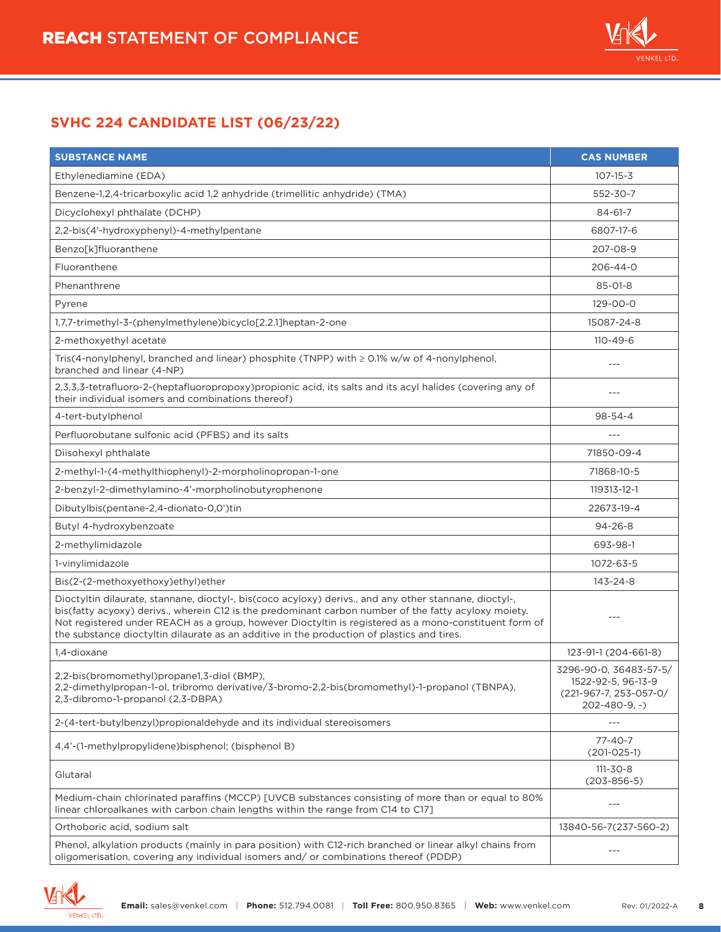

| <b>SUBSTANCE NAME</b>                                                                                                                                                                                                                                                                                                                                                                                                 | <b>CAS NUMBER</b>                                                                            |
|-----------------------------------------------------------------------------------------------------------------------------------------------------------------------------------------------------------------------------------------------------------------------------------------------------------------------------------------------------------------------------------------------------------------------|----------------------------------------------------------------------------------------------|
| Ethylenediamine (EDA)                                                                                                                                                                                                                                                                                                                                                                                                 | $107 - 15 - 3$                                                                               |
| Benzene-1,2,4-tricarboxylic acid 1,2 anhydride (trimellitic anhydride) (TMA)                                                                                                                                                                                                                                                                                                                                          | 552-30-7                                                                                     |
| Dicyclohexyl phthalate (DCHP)                                                                                                                                                                                                                                                                                                                                                                                         | $84 - 61 - 7$                                                                                |
| 2,2-bis(4'-hydroxyphenyl)-4-methylpentane                                                                                                                                                                                                                                                                                                                                                                             | 6807-17-6                                                                                    |
| Benzo[k]fluoranthene                                                                                                                                                                                                                                                                                                                                                                                                  | 207-08-9                                                                                     |
| Fluoranthene                                                                                                                                                                                                                                                                                                                                                                                                          | 206-44-0                                                                                     |
| Phenanthrene                                                                                                                                                                                                                                                                                                                                                                                                          | $85 - 01 - 8$                                                                                |
| Pyrene                                                                                                                                                                                                                                                                                                                                                                                                                | $129 - 00 - 0$                                                                               |
| 1,7,7-trimethyl-3-(phenylmethylene)bicyclo[2.2.1]heptan-2-one                                                                                                                                                                                                                                                                                                                                                         | 15087-24-8                                                                                   |
| 2-methoxyethyl acetate                                                                                                                                                                                                                                                                                                                                                                                                | $110 - 49 - 6$                                                                               |
| Tris(4-nonylphenyl, branched and linear) phosphite (TNPP) with $\geq$ 0.1% w/w of 4-nonylphenol,<br>branched and linear (4-NP)                                                                                                                                                                                                                                                                                        | $---$                                                                                        |
| 2,3,3,3-tetrafluoro-2-(heptafluoropropoxy)propionic acid, its salts and its acyl halides (covering any of<br>their individual isomers and combinations thereof)                                                                                                                                                                                                                                                       | ---                                                                                          |
| 4-tert-butylphenol                                                                                                                                                                                                                                                                                                                                                                                                    | $98 - 54 - 4$                                                                                |
| Perfluorobutane sulfonic acid (PFBS) and its salts                                                                                                                                                                                                                                                                                                                                                                    | $---$                                                                                        |
| Diisohexyl phthalate                                                                                                                                                                                                                                                                                                                                                                                                  | 71850-09-4                                                                                   |
| 2-methyl-1-(4-methylthiophenyl)-2-morpholinopropan-1-one                                                                                                                                                                                                                                                                                                                                                              | 71868-10-5                                                                                   |
| 2-benzyl-2-dimethylamino-4'-morpholinobutyrophenone                                                                                                                                                                                                                                                                                                                                                                   | 119313-12-1                                                                                  |
| Dibutylbis(pentane-2,4-dionato-0,0')tin                                                                                                                                                                                                                                                                                                                                                                               | 22673-19-4                                                                                   |
| Butyl 4-hydroxybenzoate                                                                                                                                                                                                                                                                                                                                                                                               | $94 - 26 - 8$                                                                                |
| 2-methylimidazole                                                                                                                                                                                                                                                                                                                                                                                                     | 693-98-1                                                                                     |
| 1-vinylimidazole                                                                                                                                                                                                                                                                                                                                                                                                      | 1072-63-5                                                                                    |
| Bis(2-(2-methoxyethoxy)ethyl)ether                                                                                                                                                                                                                                                                                                                                                                                    | 143-24-8                                                                                     |
| Dioctyltin dilaurate, stannane, dioctyl-, bis(coco acyloxy) derivs., and any other stannane, dioctyl-,<br>bis(fatty acyoxy) derivs., wherein C12 is the predominant carbon number of the fatty acyloxy moiety.<br>Not registered under REACH as a group, however Dioctyltin is registered as a mono-constituent form of<br>the substance dioctyltin dilaurate as an additive in the production of plastics and tires. |                                                                                              |
| 1.4-dioxane                                                                                                                                                                                                                                                                                                                                                                                                           | 123-91-1 (204-661-8)                                                                         |
| 2,2-bis(bromomethyl)propane1,3-diol (BMP),<br>2.2-dimethylpropan-1-ol, tribromo derivative/3-bromo-2.2-bis(bromomethyl)-1-propanol (TBNPA),<br>2,3-dibromo-1-propanol (2,3-DBPA)                                                                                                                                                                                                                                      | 3296-90-0, 36483-57-5/<br>1522-92-5, 96-13-9<br>(221-967-7, 253-057-0/<br>$202 - 480 - 9, -$ |
| 2-(4-tert-butylbenzyl)propionaldehyde and its individual stereoisomers                                                                                                                                                                                                                                                                                                                                                | ---                                                                                          |
| 4,4'-(1-methylpropylidene)bisphenol; (bisphenol B)                                                                                                                                                                                                                                                                                                                                                                    | $77 - 40 - 7$<br>$(201-025-1)$                                                               |
| Glutaral                                                                                                                                                                                                                                                                                                                                                                                                              | $111 - 30 - 8$<br>$(203 - 856 - 5)$                                                          |
| Medium-chain chlorinated paraffins (MCCP) [UVCB substances consisting of more than or equal to 80%<br>linear chloroalkanes with carbon chain lengths within the range from C14 to C17]                                                                                                                                                                                                                                | $---$                                                                                        |
| Orthoboric acid, sodium salt                                                                                                                                                                                                                                                                                                                                                                                          | 13840-56-7(237-560-2)                                                                        |
| Phenol, alkylation products (mainly in para position) with C12-rich branched or linear alkyl chains from<br>oligomerisation, covering any individual isomers and/ or combinations thereof (PDDP)                                                                                                                                                                                                                      | $---$                                                                                        |